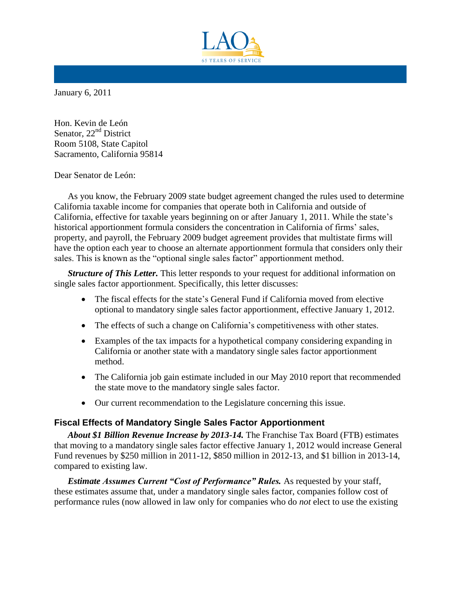

January 6, 2011

Hon. Kevin de León Senator, 22<sup>nd</sup> District Room 5108, State Capitol Sacramento, California 95814

Dear Senator de León:

As you know, the February 2009 state budget agreement changed the rules used to determine California taxable income for companies that operate both in California and outside of California, effective for taxable years beginning on or after January 1, 2011. While the state's historical apportionment formula considers the concentration in California of firms' sales, property, and payroll, the February 2009 budget agreement provides that multistate firms will have the option each year to choose an alternate apportionment formula that considers only their sales. This is known as the "optional single sales factor" apportionment method.

*Structure of This Letter.* This letter responds to your request for additional information on single sales factor apportionment. Specifically, this letter discusses:

- The fiscal effects for the state's General Fund if California moved from elective optional to mandatory single sales factor apportionment, effective January 1, 2012.
- The effects of such a change on California's competitiveness with other states.
- Examples of the tax impacts for a hypothetical company considering expanding in California or another state with a mandatory single sales factor apportionment method.
- The California job gain estimate included in our May 2010 report that recommended the state move to the mandatory single sales factor.
- Our current recommendation to the Legislature concerning this issue.

### **Fiscal Effects of Mandatory Single Sales Factor Apportionment**

*About \$1 Billion Revenue Increase by 2013-14.* The Franchise Tax Board (FTB) estimates that moving to a mandatory single sales factor effective January 1, 2012 would increase General Fund revenues by \$250 million in 2011-12, \$850 million in 2012-13, and \$1 billion in 2013-14, compared to existing law.

*Estimate Assumes Current "Cost of Performance" Rules.* As requested by your staff, these estimates assume that, under a mandatory single sales factor, companies follow cost of performance rules (now allowed in law only for companies who do *not* elect to use the existing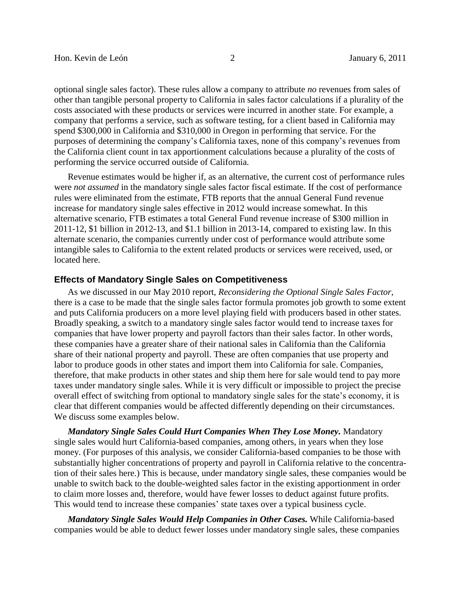optional single sales factor). These rules allow a company to attribute *no* revenues from sales of other than tangible personal property to California in sales factor calculations if a plurality of the costs associated with these products or services were incurred in another state. For example, a company that performs a service, such as software testing, for a client based in California may spend \$300,000 in California and \$310,000 in Oregon in performing that service. For the purposes of determining the company's California taxes, none of this company's revenues from the California client count in tax apportionment calculations because a plurality of the costs of performing the service occurred outside of California.

Revenue estimates would be higher if, as an alternative, the current cost of performance rules were *not assumed* in the mandatory single sales factor fiscal estimate. If the cost of performance rules were eliminated from the estimate, FTB reports that the annual General Fund revenue increase for mandatory single sales effective in 2012 would increase somewhat. In this alternative scenario, FTB estimates a total General Fund revenue increase of \$300 million in 2011-12, \$1 billion in 2012-13, and \$1.1 billion in 2013-14, compared to existing law. In this alternate scenario, the companies currently under cost of performance would attribute some intangible sales to California to the extent related products or services were received, used, or located here.

### **Effects of Mandatory Single Sales on Competitiveness**

As we discussed in our May 2010 report, *Reconsidering the Optional Single Sales Factor*, there is a case to be made that the single sales factor formula promotes job growth to some extent and puts California producers on a more level playing field with producers based in other states. Broadly speaking, a switch to a mandatory single sales factor would tend to increase taxes for companies that have lower property and payroll factors than their sales factor. In other words, these companies have a greater share of their national sales in California than the California share of their national property and payroll. These are often companies that use property and labor to produce goods in other states and import them into California for sale. Companies, therefore, that make products in other states and ship them here for sale would tend to pay more taxes under mandatory single sales. While it is very difficult or impossible to project the precise overall effect of switching from optional to mandatory single sales for the state's economy, it is clear that different companies would be affected differently depending on their circumstances. We discuss some examples below.

*Mandatory Single Sales Could Hurt Companies When They Lose Money.* Mandatory single sales would hurt California-based companies, among others, in years when they lose money. (For purposes of this analysis, we consider California-based companies to be those with substantially higher concentrations of property and payroll in California relative to the concentration of their sales here.) This is because, under mandatory single sales, these companies would be unable to switch back to the double-weighted sales factor in the existing apportionment in order to claim more losses and, therefore, would have fewer losses to deduct against future profits. This would tend to increase these companies' state taxes over a typical business cycle.

*Mandatory Single Sales Would Help Companies in Other Cases.* While California-based companies would be able to deduct fewer losses under mandatory single sales, these companies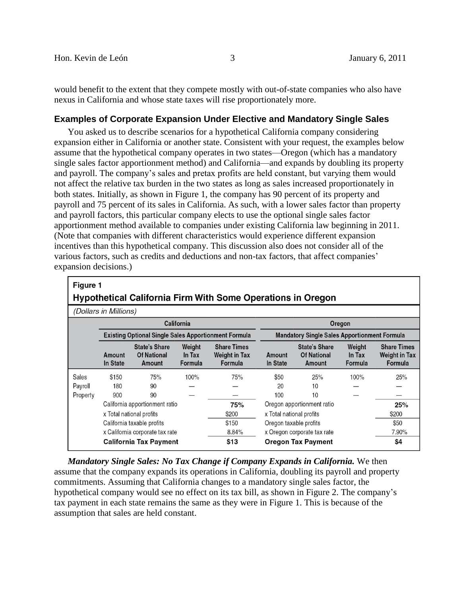would benefit to the extent that they compete mostly with out-of-state companies who also have nexus in California and whose state taxes will rise proportionately more.

### **Examples of Corporate Expansion Under Elective and Mandatory Single Sales**

You asked us to describe scenarios for a hypothetical California company considering expansion either in California or another state. Consistent with your request, the examples below assume that the hypothetical company operates in two states—Oregon (which has a mandatory single sales factor apportionment method) and California—and expands by doubling its property and payroll. The company's sales and pretax profits are held constant, but varying them would not affect the relative tax burden in the two states as long as sales increased proportionately in both states. Initially, as shown in Figure 1, the company has 90 percent of its property and payroll and 75 percent of its sales in California. As such, with a lower sales factor than property and payroll factors, this particular company elects to use the optional single sales factor apportionment method available to companies under existing California law beginning in 2011. (Note that companies with different characteristics would experience different expansion incentives than this hypothetical company. This discussion also does not consider all of the various factors, such as credits and deductions and non-tax factors, that affect companies' expansion decisions.)

| <b>Figure</b> 1                                                    |                            |                                                             |                             |                                                       |                                                     |                                                      |                             |                                                       |  |  |  |
|--------------------------------------------------------------------|----------------------------|-------------------------------------------------------------|-----------------------------|-------------------------------------------------------|-----------------------------------------------------|------------------------------------------------------|-----------------------------|-------------------------------------------------------|--|--|--|
| <b>Hypothetical California Firm With Some Operations in Oregon</b> |                            |                                                             |                             |                                                       |                                                     |                                                      |                             |                                                       |  |  |  |
| (Dollars in Millions)                                              |                            |                                                             |                             |                                                       |                                                     |                                                      |                             |                                                       |  |  |  |
| California<br>Oregon                                               |                            |                                                             |                             |                                                       |                                                     |                                                      |                             |                                                       |  |  |  |
|                                                                    |                            | <b>Existing Optional Single Sales Apportionment Formula</b> |                             |                                                       | <b>Mandatory Single Sales Apportionment Formula</b> |                                                      |                             |                                                       |  |  |  |
|                                                                    | Amount<br>In State         | <b>State's Share</b><br><b>Of National</b><br>Amount        | Weight<br>In Tax<br>Formula | <b>Share Times</b><br><b>Weight in Tax</b><br>Formula | Amount<br>In State                                  | <b>State's Share</b><br><b>Of National</b><br>Amount | Weight<br>In Tax<br>Formula | <b>Share Times</b><br><b>Weight in Tax</b><br>Formula |  |  |  |
| Sales                                                              | \$150                      | 75%                                                         | 100%                        | 75%                                                   | \$50                                                | 25%                                                  | 100%                        | 25%                                                   |  |  |  |
| Payroll                                                            | 180                        | 90                                                          |                             |                                                       | 20                                                  | 10                                                   |                             |                                                       |  |  |  |
| Property                                                           | 900                        | 90                                                          |                             |                                                       | 100                                                 | 10                                                   |                             |                                                       |  |  |  |
|                                                                    |                            | California apportionment ratio                              |                             | 75%                                                   | Oregon apportionment ratio                          |                                                      |                             | 25%                                                   |  |  |  |
|                                                                    |                            | x Total national profits                                    |                             | \$200                                                 | x Total national profits                            |                                                      |                             | \$200                                                 |  |  |  |
|                                                                    | California taxable profits |                                                             |                             | \$150                                                 | Oregon taxable profits                              |                                                      |                             | \$50                                                  |  |  |  |
|                                                                    |                            | x California corporate tax rate                             |                             | 8.84%                                                 | x Oregon corporate tax rate                         |                                                      |                             | 7.90%                                                 |  |  |  |
|                                                                    |                            | <b>California Tax Payment</b>                               |                             | \$13                                                  |                                                     | <b>Oregon Tax Payment</b>                            |                             | \$4                                                   |  |  |  |

*Mandatory Single Sales: No Tax Change if Company Expands in California.* We then assume that the company expands its operations in California, doubling its payroll and property commitments. Assuming that California changes to a mandatory single sales factor, the hypothetical company would see no effect on its tax bill, as shown in Figure 2. The company's tax payment in each state remains the same as they were in Figure 1. This is because of the assumption that sales are held constant.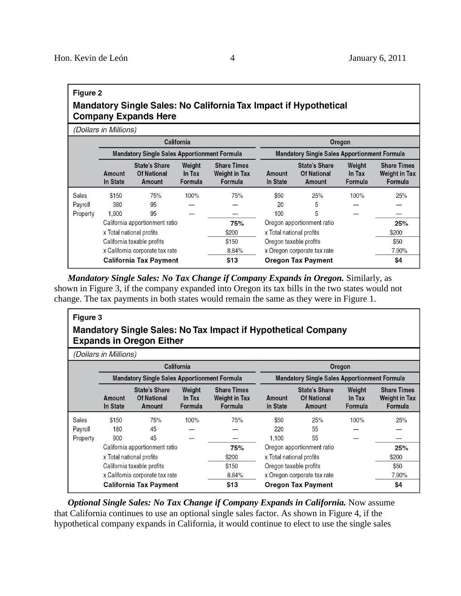## Figure 2 Mandatory Single Sales: No California Tax Impact if Hypothetical **Company Expands Here**

(Dollars in Millions)

|          | California<br><b>Mandatory Single Sales Apportionment Formula</b> |                                                      |                             |                                                       | Oregon                                                                            |                                                      |                             |                                                       |  |  |
|----------|-------------------------------------------------------------------|------------------------------------------------------|-----------------------------|-------------------------------------------------------|-----------------------------------------------------------------------------------|------------------------------------------------------|-----------------------------|-------------------------------------------------------|--|--|
|          |                                                                   |                                                      |                             |                                                       | <b>Mandatory Single Sales Apportionment Formula</b>                               |                                                      |                             |                                                       |  |  |
|          | Amount<br>In State                                                | <b>State's Share</b><br><b>Of National</b><br>Amount | Weight<br>In Tax<br>Formula | <b>Share Times</b><br><b>Weight in Tax</b><br>Formula | Amount<br>In State                                                                | <b>State's Share</b><br><b>Of National</b><br>Amount | Weight<br>In Tax<br>Formula | <b>Share Times</b><br><b>Weight in Tax</b><br>Formula |  |  |
| Sales    | \$150                                                             | 75%                                                  | 100%                        | 75%                                                   | \$50                                                                              | 25%                                                  | 100%                        | 25%                                                   |  |  |
| Payroll  | 380                                                               | 95                                                   |                             |                                                       | 20                                                                                | 5                                                    |                             |                                                       |  |  |
| Property | 1.900                                                             | 95                                                   |                             |                                                       | 100                                                                               | 5                                                    |                             |                                                       |  |  |
|          | California apportionment ratio                                    |                                                      |                             | 75%                                                   | Oregon apportionment ratio                                                        |                                                      |                             | 25%                                                   |  |  |
|          |                                                                   | x Total national profits                             |                             | \$200                                                 | x Total national profits<br>Oregon taxable profits<br>x Oregon corporate tax rate |                                                      |                             | \$200                                                 |  |  |
|          |                                                                   | California taxable profits                           |                             | \$150                                                 |                                                                                   |                                                      |                             | \$50                                                  |  |  |
|          |                                                                   | x California corporate tax rate                      |                             | 8.84%                                                 |                                                                                   |                                                      |                             | 7.90%                                                 |  |  |
|          |                                                                   | <b>California Tax Payment</b>                        |                             | \$13                                                  |                                                                                   | <b>Oregon Tax Payment</b>                            |                             | \$4                                                   |  |  |

*Mandatory Single Sales: No Tax Change if Company Expands in Oregon.* Similarly, as shown in Figure 3, if the company expanded into Oregon its tax bills in the two states would not change. The tax payments in both states would remain the same as they were in Figure 1.

# Figure 3 Mandatory Single Sales: No Tax Impact if Hypothetical Company **Expands in Oregon Either**

| (Dollars in Millions) |                                                                                           |                                                      |                             |                                                       |                                                     |                                                      |                             |                                                       |  |  |
|-----------------------|-------------------------------------------------------------------------------------------|------------------------------------------------------|-----------------------------|-------------------------------------------------------|-----------------------------------------------------|------------------------------------------------------|-----------------------------|-------------------------------------------------------|--|--|
|                       |                                                                                           |                                                      | California                  |                                                       | Oregon                                              |                                                      |                             |                                                       |  |  |
|                       | <b>Mandatory Single Sales Apportionment Formula</b>                                       |                                                      |                             |                                                       | <b>Mandatory Single Sales Apportionment Formula</b> |                                                      |                             |                                                       |  |  |
|                       | Amount<br>In State                                                                        | <b>State's Share</b><br><b>Of National</b><br>Amount | Weight<br>In Tax<br>Formula | <b>Share Times</b><br><b>Weight in Tax</b><br>Formula | Amount<br>In State                                  | <b>State's Share</b><br><b>Of National</b><br>Amount | Weight<br>In Tax<br>Formula | <b>Share Times</b><br><b>Weight in Tax</b><br>Formula |  |  |
| Sales                 | \$150                                                                                     | 75%                                                  | 100%                        | 75%                                                   | \$50                                                | 25%                                                  | 100%                        | 25%                                                   |  |  |
| Payroll               | 180                                                                                       | 45                                                   |                             |                                                       | 220                                                 | 55                                                   |                             |                                                       |  |  |
| Property              | 900                                                                                       | 45                                                   |                             |                                                       | 1.100                                               | 55                                                   |                             |                                                       |  |  |
|                       | California apportionment ratio                                                            |                                                      |                             | 75%                                                   | Oregon apportionment ratio                          |                                                      |                             | 25%                                                   |  |  |
|                       | x Total national profits<br>California taxable profits<br>x California corporate tax rate |                                                      |                             | \$200                                                 |                                                     | x Total national profits<br>Oregon taxable profits   |                             |                                                       |  |  |
|                       |                                                                                           |                                                      |                             | \$150                                                 |                                                     |                                                      |                             |                                                       |  |  |
|                       |                                                                                           |                                                      |                             | 8.84%                                                 | x Oregon corporate tax rate                         |                                                      |                             | 7.90%                                                 |  |  |
|                       |                                                                                           | <b>California Tax Payment</b>                        |                             | \$13                                                  |                                                     | <b>Oregon Tax Payment</b>                            |                             | \$4                                                   |  |  |

*Optional Single Sales: No Tax Change if Company Expands in California.* Now assume that California continues to use an optional single sales factor. As shown in Figure 4, if the hypothetical company expands in California, it would continue to elect to use the single sales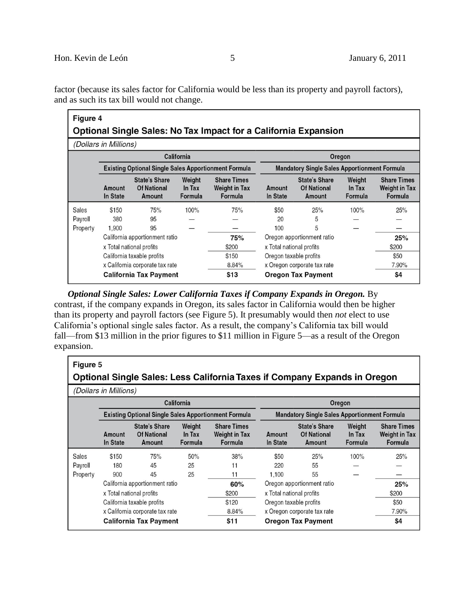factor (because its sales factor for California would be less than its property and payroll factors), and as such its tax bill would not change.

| Figure 4                                                               |                          |                                                             |                             |                                                       |                            |                                                      |                             |                                                       |  |  |
|------------------------------------------------------------------------|--------------------------|-------------------------------------------------------------|-----------------------------|-------------------------------------------------------|----------------------------|------------------------------------------------------|-----------------------------|-------------------------------------------------------|--|--|
| <b>Optional Single Sales: No Tax Impact for a California Expansion</b> |                          |                                                             |                             |                                                       |                            |                                                      |                             |                                                       |  |  |
| (Dollars in Millions)                                                  |                          |                                                             |                             |                                                       |                            |                                                      |                             |                                                       |  |  |
|                                                                        |                          |                                                             | California                  |                                                       |                            |                                                      | Oregon                      |                                                       |  |  |
|                                                                        |                          | <b>Existing Optional Single Sales Apportionment Formula</b> |                             |                                                       |                            | <b>Mandatory Single Sales Apportionment Formula</b>  |                             |                                                       |  |  |
|                                                                        | Amount<br>In State       | <b>State's Share</b><br><b>Of National</b><br>Amount        | Weight<br>In Tax<br>Formula | <b>Share Times</b><br><b>Weight in Tax</b><br>Formula | Amount<br>In State         | <b>State's Share</b><br><b>Of National</b><br>Amount | Weight<br>In Tax<br>Formula | <b>Share Times</b><br><b>Weight in Tax</b><br>Formula |  |  |
| <b>Sales</b>                                                           | \$150                    | 75%                                                         | 100%                        | 75%                                                   | \$50                       | 25%                                                  | 100%                        | 25%                                                   |  |  |
| Payroll                                                                | 380                      | 95                                                          |                             |                                                       | 20                         | 5                                                    |                             |                                                       |  |  |
| Property                                                               | 1.900                    | 95                                                          |                             |                                                       | 100                        | 5                                                    |                             |                                                       |  |  |
|                                                                        |                          | California apportionment ratio                              |                             | 75%                                                   | Oregon apportionment ratio |                                                      |                             | 25%                                                   |  |  |
|                                                                        | x Total national profits |                                                             | \$200                       | x Total national profits                              |                            |                                                      | \$200                       |                                                       |  |  |
|                                                                        |                          | California taxable profits                                  |                             | \$150                                                 |                            | Oregon taxable profits                               |                             | \$50                                                  |  |  |
|                                                                        |                          | x California corporate tax rate                             |                             | 8.84%                                                 |                            | x Oregon corporate tax rate                          |                             | 7.90%                                                 |  |  |
|                                                                        |                          | <b>California Tax Payment</b>                               |                             | \$13                                                  |                            | <b>Oregon Tax Payment</b>                            |                             | \$4                                                   |  |  |

*Optional Single Sales: Lower California Taxes if Company Expands in Oregon.* By contrast, if the company expands in Oregon, its sales factor in California would then be higher than its property and payroll factors (see Figure 5). It presumably would then *not* elect to use California's optional single sales factor. As a result, the company's California tax bill would fall—from \$13 million in the prior figures to \$11 million in Figure 5—as a result of the Oregon expansion.

| Figure 5<br>Optional Single Sales: Less California Taxes if Company Expands in Oregon |                                |                                                             |                             |                                                       |                             |                                                      |                             |                                                       |  |  |
|---------------------------------------------------------------------------------------|--------------------------------|-------------------------------------------------------------|-----------------------------|-------------------------------------------------------|-----------------------------|------------------------------------------------------|-----------------------------|-------------------------------------------------------|--|--|
| (Dollars in Millions)                                                                 |                                |                                                             |                             |                                                       |                             |                                                      |                             |                                                       |  |  |
| California<br>Oregon                                                                  |                                |                                                             |                             |                                                       |                             |                                                      |                             |                                                       |  |  |
|                                                                                       |                                | <b>Existing Optional Single Sales Apportionment Formula</b> |                             |                                                       |                             | <b>Mandatory Single Sales Apportionment Formula</b>  |                             |                                                       |  |  |
|                                                                                       | Amount<br>In State             | <b>State's Share</b><br><b>Of National</b><br>Amount        | Weight<br>In Tax<br>Formula | <b>Share Times</b><br><b>Weight in Tax</b><br>Formula | Amount<br>In State          | <b>State's Share</b><br><b>Of National</b><br>Amount | Weight<br>In Tax<br>Formula | <b>Share Times</b><br><b>Weight in Tax</b><br>Formula |  |  |
| Sales                                                                                 | \$150                          | 75%                                                         | 50%                         | 38%                                                   | \$50                        | 25%                                                  | 100%                        | 25%                                                   |  |  |
| Payroll                                                                               | 180                            | 45                                                          | 25                          | 11                                                    | 220                         | 55                                                   |                             |                                                       |  |  |
| Property                                                                              | 900                            | 45                                                          | 25                          | 11                                                    | 1,100                       | 55                                                   |                             |                                                       |  |  |
|                                                                                       | California apportionment ratio |                                                             |                             | 60%                                                   | Oregon apportionment ratio  |                                                      |                             | 25%                                                   |  |  |
|                                                                                       |                                | x Total national profits                                    |                             | \$200                                                 | x Total national profits    |                                                      |                             | \$200                                                 |  |  |
|                                                                                       |                                | California taxable profits                                  |                             | \$120                                                 | Oregon taxable profits      |                                                      |                             | \$50                                                  |  |  |
|                                                                                       |                                | x California corporate tax rate                             |                             | 8.84%                                                 | x Oregon corporate tax rate |                                                      |                             | 7.90%                                                 |  |  |
|                                                                                       |                                | <b>California Tax Payment</b>                               |                             | \$11                                                  |                             | <b>Oregon Tax Payment</b>                            |                             | \$4                                                   |  |  |